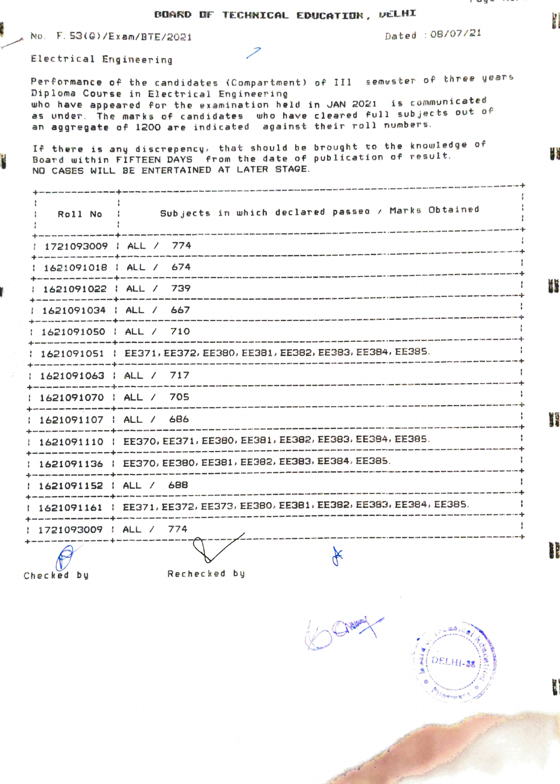**Control** 

3

## BOARD DF TECHNICAL EDUCATION, VELHI

No. F. 53(0)/Exam/BTE/2021 2021 2021

Electrical Eng ineering

Performance of the candidates (Compar tment) of I11 emuster of three yeers Dipioma Course in El ectrical Engineering who have appeared for the examination held in JAN 2021 is communicated<br>as under. The marks of candidates who have cleared full subjects out of an aggregate of 1200 are indicated against their rol1 numbers.

If there is any discrepency, that should be brought to the knowledge of Board within FIFTEEN DAYS from the date of publication of result. NO CASES WILL BE ENTERTAINED AT LATER STAGE.

| Roll No ;                                                                                                                                        | Subjects in which declared passed / Marks Obtained                                                                                            |
|--------------------------------------------------------------------------------------------------------------------------------------------------|-----------------------------------------------------------------------------------------------------------------------------------------------|
| as agus como somo esta crea anos com com aven com anos ag <sup>u</sup> s antes entre tras enos entre entre en                                    | 1721093009   ALL / 774                                                                                                                        |
|                                                                                                                                                  | 1621091018   ALL / 674                                                                                                                        |
|                                                                                                                                                  | 1621091022   ALL / 739                                                                                                                        |
| 1621091034   ALL / 667<br>and the company was a set of the company of the company of the company of the company of the company of the company of |                                                                                                                                               |
| 1621091050   ALL / 710                                                                                                                           | .<br>In the line and you can come only was also alle also also were a major age and with was very will also also pure your countries and also |
|                                                                                                                                                  | 1621091051   EE371, EE372, EE380, EE381, EE382, EE383, EE384, EE385.                                                                          |
| 1621091063   ALL / 717                                                                                                                           |                                                                                                                                               |
| 1621091070   ALL / 705                                                                                                                           |                                                                                                                                               |
| 1621091107   ALL / 686                                                                                                                           |                                                                                                                                               |
|                                                                                                                                                  | 1621091110   EE370, EE371, EE380, EE381, EE382, EE383, EE384, EE385.                                                                          |
|                                                                                                                                                  | 1621091136   EE370, EE380, EE381, EE382, EE383, EE384, EE385.                                                                                 |
| 1621091152   ALL / 688                                                                                                                           |                                                                                                                                               |
|                                                                                                                                                  | 1621091161   EE371, EE372, EE373, EE380, EE381, EE382, EE383, EE384, EE385.                                                                   |
| 1721093009   ALL / 774                                                                                                                           |                                                                                                                                               |
|                                                                                                                                                  |                                                                                                                                               |
| Checked bu                                                                                                                                       | Rechecked by                                                                                                                                  |

81 UCLH**I-38**<br>A\